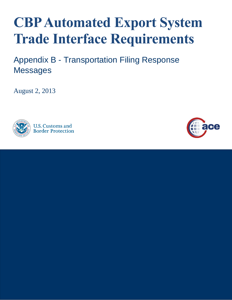# **CBP Automated Export System Trade Interface Requirements**

Appendix B - Transportation Filing Response **Messages** 

August 2, 2013



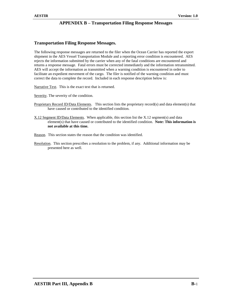# **Transportation Filing Response Messages.**

The following response messages are returned to the filer when the Ocean Carrier has reported the export shipment in the AES Vessel Transportation Module and a reporting error condition is encountered. AES rejects the information submitted by the carrier when any of the fatal conditions are encountered and returns a response message. Fatal errors must be corrected immediately and the information retransmitted. AES will accept the information as transmitted when a warning condition is encountered in order to facilitate an expedient movement of the cargo. The filer is notified of the warning condition and must correct the data to complete the record. Included in each response description below is:

Narrative Text. This is the exact text that is returned.

Severity. The severity of the condition.

- Proprietary Record ID/Data Elements. This section lists the proprietary record(s) and data element(s) that have caused or contributed to the identified condition.
- X.12 Segment ID/Data Elements. When applicable, this section list the X.12 segment(s) and data element(s) that have caused or contributed to the identified condition. **Note: This information is not available at this time.**

Reason. This section states the reason that the condition was identified.

Resolution. This section prescribes a resolution to the problem, if any. Additional information may be presented here as well.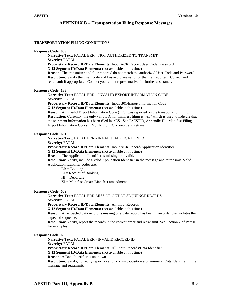# **TRANSPORTATION FILING CONDITIONS**

#### **Response Code: 009**

**Narrative Text:** FATAL ERR – NOT AUTHORIZED TO TRANSMIT **Severity:** FATAL

**Proprietary Record ID/Data Elements:** Input ACR Record/User Code, Password **X.12 Segment ID/Data Elements:** (not available at this time)

**Reason:** The transmitter and filer reported do not match the authorized User Code and Password. **Resolution:** Verify the User Code and Password are valid for the filer reported. Correct and retransmit if appropriate. Contact your client representative for further assistance.

#### **Response Code: 133**

**Narrative Text:** FATAL ERR – INVALID EXPORT INFORMATION CODE **Severity:** FATAL

**Proprietary Record ID/Data Elements:** Input B01/Export Information Code **X.12 Segment ID/Data Elements:** (not available at this time)

**Reason:** An invalid Export Information Code (EIC) was reported on the transportation filing. **Resolution:** Currently, the only valid EIC for manifest filing is 'AE' which is used to indicate that the shipment information has been filed in AES. See "AESTIR, Appendix H – Manifest Filing Export Information Codes." Verify the EIC, correct and retransmit.

# **Response Code: 601**

**Narrative Text:** FATAL ERR - INVALID APPLICATION ID

**Severity:** FATAL

**Proprietary Record ID/Data Elements:** Input ACR Record/Application Identifier **X.12 Segment ID/Data Elements:** (not available at this time)

**Reason:** The Application Identifier is missing or invalid.

**Resolution:** Verify, include a valid Application Identifier in the message and retransmit. Valid Application Identifier codes are:

 $EB = Booking$ 

 $EI = Receipt of Booking$ 

 $HI = Department$ 

XI = Manifest Create/Manifest amendment

# **Response Code: 602**

**Narrative Text:** FATAL ERR-MISS OR OUT OF SEQUENCE RECRDS

**Severity:** FATAL

**Proprietary Record ID/Data Elements:** All Input Records

**X.12 Segment ID/Data Elements:** (not available at this time)

**Reason:** An expected data record is missing or a data record has been in an order that violates the expected sequence.

**Resolution:** Verify, report the records in the correct order and retransmit. See Section 2 of Part II for examples.

# **Response Code: 603**

**Narrative Text:** FATAL ERR - INVALID RECORD ID **Severity:** FATAL **Proprietary Record ID/Data Elements:** All Input Records/Data Identifier **X.12 Segment ID/Data Elements:** (not available at this time) **Reason:** A Data Identifier is unknown. **Resolution:** Verify, correctly report a valid, known 3-position alphanumeric Data Identifier in the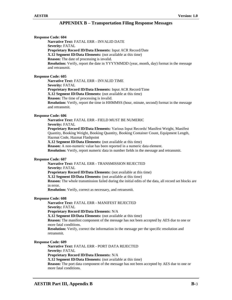**Response Code: 604 Narrative Text:** FATAL ERR - INVALID DATE **Severity:** FATAL **Proprietary Record ID/Data Elements:** Input ACR Record/Date **X.12 Segment ID/Data Elements:** (not available at this time) **Reason:** The date of processing is invalid. **Resolution:** Verify, report the date in YYYYMMDD (year, month, day) format in the message and retransmit. **Response Code: 605 Narrative Text:** FATAL ERR - INVALID TIME **Severity:** FATAL **Proprietary Record ID/Data Elements:** Input ACR Record/Time **X.12 Segment ID/Data Elements:** (not available at this time) **Reason:** The time of processing is invalid. **Resolution:** Verify, report the time in HHMMSS (hour, minute, second) format in the message and retransmit. **Response Code: 606 Narrative Text:** FATAL ERR - FIELD MUST BE NUMERIC **Severity:** FATAL **Proprietary Record ID/Data Elements:** Various Input Records/ Manifest Weight, Manifest Quantity, Booking Weight, Booking Quantity, Booking Container Count, Equipment Length, Hazmat Code, Hazmat Flashpoint **X.12 Segment ID/Data Elements:** (not available at this time) **Reason:** A non-numeric value has been reported in a numeric data element. **Resolution:** Verify, report numeric data in number fields in the message and retransmit. **Response Code: 607 Narrative Text:** FATAL ERR - TRANSMISSION REJECTED **Severity:** FATAL **Proprietary Record ID/Data Elements:** (not available at this time) **X.12 Segment ID/Data Elements:** (not available at this time) **Reason:** The whole transmission failed during the initial edits of the data, all record set blocks are in error. **Resolution:** Verify, correct as necessary, and retransmit. **Response Code: 608 Narrative Text:** FATAL ERR - MANIFEST REJECTED **Severity:** FATAL **Proprietary Record ID/Data Elements:** N/A **X.12 Segment ID/Data Elements:** (not available at this time) **Reason:** The manifest component of the message has not been accepted by AES due to one or more fatal conditions. **Resolution:** Verify, correct the information in the message per the specific resolution and retransmit. **Response Code: 609 Narrative Text:** FATAL ERR - PORT DATA REJECTED **Severity:** FATAL **Proprietary Record ID/Data Elements:** N/A **X.12 Segment ID/Data Elements:** (not available at this time) **Reason:** The port data component of the message has not been accepted by AES due to one or more fatal conditions.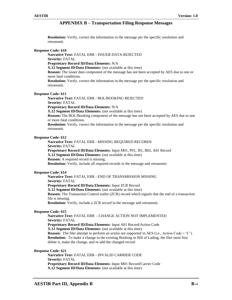**Resolution:** Verify, correct the information in the message per the specific resolution and retransmit.

# **Response Code: 610**

**Narrative Text:** FATAL ERR - ISSUER DATA REJECTED **Severity:** FATAL **Proprietary Record ID/Data Elements:** N/A **X.12 Segment ID/Data Elements:** (not available at this time) **Reason:** The issuer data component of the message has not been accepted by AES due to one or more fatal conditions. **Resolution:** Verify, correct the information in the message per the specific resolution and retransmit.

# **Response Code: 611**

**Narrative Text:** FATAL ERR - BOL/BOOKING REJECTED **Severity:** FATAL **Proprietary Record ID/Data Elements:** N/A **X.12 Segment ID/Data Elements:** (not available at this time) **Reason:** The BOL/Booking component of the message has not been accepted by AES due to one or more fatal conditions. **Resolution:** Verify, correct the information in the message per the specific resolution and retransmit.

# **Response Code: 612**

**Narrative Text:** FATAL ERR - MISSING REQUIRED RECORDS **Severity:** FATAL **Proprietary Record ID/Data Elements:** Input M01, P01, J01, B02, A01 Record **X.12 Segment ID/Data Elements:** (not available at this time) **Reason:** A required record is missing. **Resolution:** Verify, include all required records in the message and retransmit.

# **Response Code: 614**

**Narrative Text:** FATAL ERR - END OF TRANSMISSION MISSING **Severity:** FATAL **Proprietary Record ID/Data Elements:** Input ZCR Record **X.12 Segment ID/Data Elements:** (not available at this time) **Reason:** The Transaction Control trailer (ZCR) record which signals that the end of a transaction file is missing. **Resolution:** Verify, include a ZCR record in the message and retransmit.

# **Response Code: 615**

**Narrative Text:** FATAL ERR - CHANGE ACTION NOT IMPLEMENTED **Severity:** FATAL

**Proprietary Record ID/Data Elements:** Input A01 Record/Action Code

**X.12 Segment ID/Data Elements:** (not available at this time)

**Reason:** The filer attempt to perform an action not supported in AES (i.e., Action Code =  $^{\circ}$ C'). **Resolution:** To make a change to the existing Booking or Bill of Lading, the filer must first delete it, make the change, and re-add the changed record.

# **Response Code: 621**

**Narrative Text:** FATAL ERR - INVALID CARRIER CODE **Severity:** FATAL **Proprietary Record ID/Data Elements:** Input M01 Record/Carrier Code **X.12 Segment ID/Data Elements:** (not available at this time)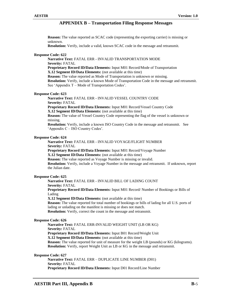**Reason:** The value reported as SCAC code (representing the exporting carrier) is missing or unknown.

**Resolution:** Verify, include a valid, known SCAC code in the message and retransmit.

# **Response Code: 622**

**Narrative Text:** FATAL ERR - INVALID TRANSPORTATION MODE **Severity:** FATAL **Proprietary Record ID/Data Elements:** Input M01 Record/Mode of Transportation **X.12 Segment ID/Data Elements:** (not available at this time) **Reason:** The value reported as Mode of Transportation is unknown or missing. **Resolution:** Verify, include a known Mode of Transportation Code in the message and retransmit. See 'Appendix T – Mode of Transportation Codes'.

# **Response Code: 623**

**Narrative Text:** FATAL ERR - INVALID VESSEL COUNTRY CODE **Severity:** FATAL **Proprietary Record ID/Data Elements:** Input M01 Record/Vessel Country Code **X.12 Segment ID/Data Elements:** (not available at this time)

**Reason:** The value of Vessel Country Code representing the flag of the vessel is unknown or missing.

**Resolution:** Verify, include a known ISO Country Code in the message and retransmit. See 'Appendix C – ISO Country Codes'.

# **Response Code: 624**

**Narrative Text:** FATAL ERR - INVALID VOYAGE/FLIGHT NUMBER **Severity:** FATAL **Proprietary Record ID/Data Elements:** Input M01 Record/Voyage Number **X.12 Segment ID/Data Elements:** (not available at this time) **Reason:** The value reported as Voyage Number is missing or invalid. **Resolution:** Verify, include a Voyage Number in the message and retransmit. If unknown, report the Julian date.

# **Response Code: 625**

**Narrative Text:** FATAL ERR - INVALID BILL OF LADING COUNT **Severity:** FATAL **Proprietary Record ID/Data Elements:** Input M01 Record/ Number of Bookings or Bills of

Lading

**X.12 Segment ID/Data Elements:** (not available at this time)

**Reason:** The value reported for total number of bookings or bills of lading for all U.S. ports of lading or unlading on the manifest is missing or does not match.

**Resolution:** Verify, correct the count in the message and retransmit.

# **Response Code: 626**

**Narrative Text:** FATAL ERR-INVALID WEIGHT UNIT (LB OR KG) **Severity:** FATAL **Proprietary Record ID/Data Elements:** Input B01 Record/Weight Unit **X.12 Segment ID/Data Elements:** (not available at this time) **Reason:** The value reported for unit of measure for the weight LB (pounds) or KG (kilograms). **Resolution:** Verify, report Weight Unit as LB or KG in the message and retransmit.

**Response Code: 627**

**Narrative Text:** FATAL ERR – DUPLICATE LINE NUMBER (D01) **Severity:** FATAL **Proprietary Record ID/Data Elements:** Input D01 Record/Line Number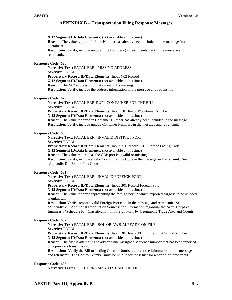**X.12 Segment ID/Data Elements:** (not available at this time)

**Reason:** The value reported in Line Number has already been included in the message (for the container).

**Resolution:** Verify, include unique Line Numbers (for each container) in the message and retransmit.

#### **Response Code: 628**

**Narrative Text:** FATAL ERR - MISSING ADDRESS **Severity:** FATAL **Proprietary Record ID/Data Elements:** Input N02 Record **X.12 Segment ID/Data Elements:** (not available at this time) **Reason:** The N02 address information record is missing. **Resolution:** Verify, include the address information in the message and retransmit.

# **Response Code: 629**

**Narrative Text:** FATAL ERR-DUPL CONTAINER FOR THE BILL **Severity:** FATAL **Proprietary Record ID/Data Elements:** Input C01 Record/Container Number **X.12 Segment ID/Data Elements:** (not available at this time) **Reason:** The value reported in Container Number has already been included in the message. **Resolution:** Verify, include unique Container Numbers in the message and retransmit.

# **Response Code: 630**

**Narrative Text:** FATAL ERR - INVALID DISTRICT PORT

**Severity:** FATAL

**Proprietary Record ID/Data Elements:** Input P01 Record/ CBP Port of Lading Code **X.12 Segment ID/Data Elements:** (not available at this time)

**Reason:** The value reported as the CBP port is invalid or missing.

**Resolution:** Verify, include a valid Port of Lading Code in the message and retransmit. See 'Appendix D – Export Port Codes'.

# . **Response Code: 631**

**Narrative Text:** FATAL ERR - INVALID FOREIGN PORT

**Severity:** FATAL

**Proprietary Record ID/Data Elements:** Input B01 Record/Foreign Port

**X.12 Segment ID/Data Elements:** (not available at this time)

**Reason:** The value reported representing the foreign port in which exported cargo is to be unladed is unknown.

**Resolution:** Verify, report a valid Foreign Port code in the message and retransmit. See 'Appendix Z – Additional Information Sources' for information regarding the Army Corps of Engineer's 'Schedule K – Classification of Foreign Ports by Geographic Trade Area and Country'.

#### **Response Code: 632**

**Narrative Text:** FATAL ERR - BOL OR AWB ALREADY ON FILE

**Severity:** FATAL

**Proprietary Record ID/Data Elements:** Input B01 Record/Bill of Lading Control Number **X.12 Segment ID/Data Elements:** (not available at this time)

**Reason:** The filer is attempting to add an issuer-assigned sequence number that has been reported on a previous transmission.

**Resolution:** Verify the Bill or Lading Control Number, correct the information in the message and retransmit. The Control Number must be unique for the issuer for a period of three years.

#### **Response Code: 633**

**Narrative Text:** FATAL ERR - MANIFEST NOT ON FILE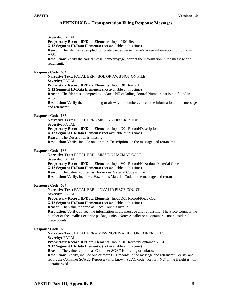**Severity:** FATAL

**Proprietary Record ID/Data Elements:** Input M01 Record

**X.12 Segment ID/Data Elements:** (not available at this time)

**Reason:** The filer has attempted to update carrier/vessel name/voyage information not found in AES.

**Resolution:** Verify the carrier/vessel name/voyage, correct the information in the message and retransmit.

# **Response Code: 634**

**Narrative Text:** FATAL ERR - BOL OR AWB NOT ON FILE

**Severity:** FATAL

**Proprietary Record ID/Data Elements:** Input B01 Record

**X.12 Segment ID/Data Elements:** (not available at this time)

**Reason:** The filer has attempted to update a bill of lading Control Number that is not found in AES.

**Resolution:** Verify the bill of lading or air waybill number, correct the information in the message and retransmit.

# **Response Code: 635**

**Narrative Text:** FATAL ERR - MISSING DESCRIPTION **Severity:** FATAL **Proprietary Record ID/Data Elements:** Input D01 Record/Description **X.12 Segment ID/Data Elements:** (not available at this time) **Reason:** The Description is missing. **Resolution:** Verify, include one or more Descriptions in the message and retransmit.

# **Response Code: 636**

**Narrative Text:** FATAL ERR - MISSING HAZMAT CODE **Severity:** FATAL **Proprietary Record ID/Data Elements:** Input V01 Record/Hazardous Material Code **X.12 Segment ID/Data Elements:** (not available at this time) **Reason:** The value reported as Hazardous Material Code is missing. **Resolution:** Verify, include a Hazardous Material Code in the message and retransmit.

# **Response Code: 637**

**Narrative Text:** FATAL ERR – INVALID PIECE COUNT **Severity:** FATAL

**Proprietary Record ID/Data Elements:** Input D01 Record/Piece Count

**X.12 Segment ID/Data Elements:** (not available at this time)

**Reason:** The value reported as Piece Count is invalid.

**Resolution:** Verify, correct the information in the message and retransmit. The Piece Count is the number of the smallest exterior package units. Note: A pallet or a container is not considered piece counts.

# **Response Code: 638**

**Narrative Text:** FATAL ERR – MISSING/INVALID CONTAINER SCAC **Severity:** FATAL

**Proprietary Record ID/Data Elements:** Input C01 Record/Container SCAC

**X.12 Segment ID/Data Elements:** (not available at this time)

**Reason:** The value reported as Container SCAC is missing or unknown.

**Resolution:** Verify, include one or more C01 records in the message and retransmit. Verify and report the Container SCAC. Report a valid, known SCAC code. Report 'NC' if the freight is noncontainerized.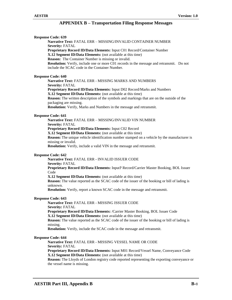| <b>Response Code: 639</b><br><b>Narrative Text: FATAL ERR - MISSING/INVALID CONTAINER NUMBER</b>                                                                                                                                                  |  |
|---------------------------------------------------------------------------------------------------------------------------------------------------------------------------------------------------------------------------------------------------|--|
| <b>Severity: FATAL</b>                                                                                                                                                                                                                            |  |
| Proprietary Record ID/Data Elements: Input C01 Record/Container Number<br>X.12 Segment ID/Data Elements: (not available at this time)<br><b>Reason:</b> The Container Number is missing or invalid.                                               |  |
| <b>Resolution:</b> Verify, include one or more C01 records in the message and retransmit. Do not<br>include the SCAC code in the Container Number.                                                                                                |  |
| <b>Response Code: 640</b>                                                                                                                                                                                                                         |  |
| Narrative Text: FATAL ERR - MISSING MARKS AND NUMBERS<br><b>Severity: FATAL</b>                                                                                                                                                                   |  |
| Proprietary Record ID/Data Elements: Input D02 Record/Marks and Numbers<br>X.12 Segment ID/Data Elements: (not available at this time)                                                                                                            |  |
| <b>Reason:</b> The written description of the symbols and markings that are on the outside of the<br>packaging are missing.<br>Resolution: Verify, Marks and Numbers in the message and retransmit.                                               |  |
|                                                                                                                                                                                                                                                   |  |
| <b>Response Code: 641</b>                                                                                                                                                                                                                         |  |
| Narrative Text: FATAL ERR - MISSING/INVALID VIN NUMBER<br><b>Severity: FATAL</b>                                                                                                                                                                  |  |
| Proprietary Record ID/Data Elements: Input C02 Record                                                                                                                                                                                             |  |
| X.12 Segment ID/Data Elements: (not available at this time)<br><b>Reason:</b> The unique vehicle identification number stamped on a vehicle by the manufacturer is<br>missing or invalid.                                                         |  |
| Resolution: Verify, include a valid VIN in the message and retransmit.                                                                                                                                                                            |  |
|                                                                                                                                                                                                                                                   |  |
| <b>Response Code: 642</b><br>Narrative Text: FATAL ERR - INVALID ISSUER CODE<br><b>Severity: FATAL</b>                                                                                                                                            |  |
| Proprietary Record ID/Data Elements: Input? Record/Carrier Master Booking, BOL Issuer<br>Code                                                                                                                                                     |  |
| X.12 Segment ID/Data Elements: (not available at this time)                                                                                                                                                                                       |  |
| <b>Reason:</b> The value reported as the SCAC code of the issuer of the booking or bill of lading is<br>unknown.                                                                                                                                  |  |
| Resolution: Verify, report a known SCAC code in the message and retransmit.                                                                                                                                                                       |  |
| <b>Response Code: 643</b>                                                                                                                                                                                                                         |  |
| Narrative Text: FATAL ERR - MISSING ISSUER CODE<br><b>Severity: FATAL</b>                                                                                                                                                                         |  |
| Proprietary Record ID/Data Elements: /Carrier Master Booking, BOL Issuer Code<br>X.12 Segment ID/Data Elements: (not available at this time)                                                                                                      |  |
| <b>Reason:</b> The value reported as the SCAC code of the issuer of the booking or bill of lading is<br>missing.                                                                                                                                  |  |
| <b>Resolution:</b> Verify, include the SCAC code in the message and retransmit.                                                                                                                                                                   |  |
| <b>Response Code: 644</b><br>Narrative Text: FATAL ERR - MISSING VESSEL NAME OR CODE                                                                                                                                                              |  |
| <b>Severity: FATAL</b>                                                                                                                                                                                                                            |  |
| Proprietary Record ID/Data Elements: Input M01 Record/Vessel Name, Conveyance Code<br>X.12 Segment ID/Data Elements: (not available at this time)<br>Reason: The Lloyds of London registry code reported representing the exporting conveyance or |  |
| the vessel name is missing.                                                                                                                                                                                                                       |  |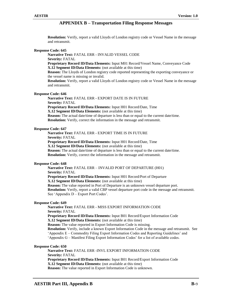**Resolution:** Verify, report a valid Lloyds of London registry code or Vessel Name in the message and retransmit.

# **Response Code: 645**

**Severity:** FATAL **Proprietary Record ID/Data Elements:** Input M01 Record/Vessel Name, Conveyance Code **X.12 Segment ID/Data Elements:** (not available at this time)

**Reason:** The Lloyds of London registry code reported representing the exporting conveyance or the vessel name is missing or invalid.

**Resolution:** Verify, report a valid Lloyds of London registry code or Vessel Name in the message and retransmit.

# **Response Code: 646**

**Narrative Text:** FATAL ERR - EXPORT DATE IS IN FUTURE **Severity:** FATAL **Proprietary Record ID/Data Elements:** Input H01 Record/Date, Time **X.12 Segment ID/Data Elements:** (not available at this time) **Reason:** The actual date/time of departure is less than or equal to the current date/time. **Resolution:** Verify, correct the information in the message and retransmit.

# **Response Code: 647**

**Narrative Text:** FATAL ERR - EXPORT TIME IS IN FUTURE **Severity:** FATAL **Proprietary Record ID/Data Elements:** Input H01 Record/Date, Time **X.12 Segment ID/Data Elements:** (not available at this time) **Reason:** The actual date/time of departure is less than or equal to the current date/time. **Resolution:** Verify, correct the information in the message and retransmit.

# **Response Code: 648**

**Narrative Text:** FATAL ERR – INVALID PORT OF DEPARTURE (H01) **Severity:** FATAL

**Proprietary Record ID/Data Elements:** Input H01 Record/Port of Departure

**X.12 Segment ID/Data Elements:** (not available at this time)

**Narrative Text:** FATAL ERR - INVALID VESSEL CODE

**Reason:** The value reported in Port of Departure is an unknown vessel departure port.

**Resolution:** Verify, report a valid CBP vessel departure port code in the message and retransmit. See 'Appendix D – Export Port Codes'.

# **Response Code: 649**

**Narrative Text:** FATAL ERR - MISS EXPORT INFORMATION CODE **Severity:** FATAL

**Proprietary Record ID/Data Elements:** Input B01 Record/Export Information Code **X.12 Segment ID/Data Elements:** (not available at this time)

**Reason:** The value reported in Export Information Code is missing.

**Resolution:** Verify, include a known Export Information Code in the message and retransmit. See

'Appendix E – Commodity Filing Export Information Codes and Reporting Guidelines' and

'Appendix G – Manifest Filing Export Information Codes' for a list of available codes.

# **Response Code: 650**

**Narrative Text:** FATAL ERR -INVL EXPORT INFORMATION CODE **Severity:** FATAL **Proprietary Record ID/Data Elements:** Input B01 Record/Export Information Code **X.12 Segment ID/Data Elements:** (not available at this time) **Reason:** The value reported in Export Information Code is unknown.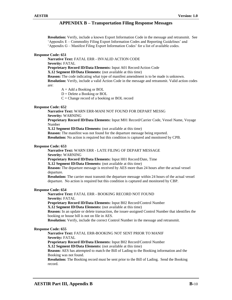**Resolution:** Verify, include a known Export Information Code in the message and retransmit. See 'Appendix E – Commodity Filing Export Information Codes and Reporting Guidelines' and 'Appendix G – Manifest Filing Export Information Codes' for a list of available codes.

# **Response Code: 651**

**Narrative Text:** FATAL ERR - INVALID ACTION CODE

**Severity:** FATAL

**Proprietary Record ID/Data Elements:** Input A01 Record/Action Code

**X.12 Segment ID/Data Elements:** (not available at this time)

**Reason:** The code indicating what type of manifest amendment is to be made is unknown.

**Resolution:** Verify, include a valid Action Code in the message and retransmit. Valid action codes are:

 $A = Add$  a Booking or BOL

 $D =$  Delete a Booking or BOL

 $C =$ Change record of a booking or BOL record

# **Response Code: 652**

**Narrative Text:** WARN ERR-MANI NOT FOUND FOR DEPART MESSG **Severity:** WARNING

**Proprietary Record ID/Data Elements:** Input M01 Record/Carrier Code, Vessel Name, Voyage Number

**X.12 Segment ID/Data Elements:** (not available at this time)

**Reason:** The manifest was not found for the departure message being reported. **Resolution:** No action is required but this condition is captured and monitored by CPB.

# **Response Code: 653**

**Narrative Text:** WARN ERR - LATE FILING OF DEPART MESSAGE

**Severity:** WARNING

**Proprietary Record ID/Data Elements:** Input H01 Record/Date, Time

**X.12 Segment ID/Data Elements:** (not available at this time)

**Reason:** The departure message is received by AES more than 24 hours after the actual vessel departure.

**Resolution:** The carrier must transmit the departure message within 24 hours of the actual vessel departure. No action is required but this condition is captured and monitored by CBP.

# **Response Code: 654**

**Narrative Text:** FATAL ERR - BOOKING RECORD NOT FOUND **Severity:** FATAL

**Proprietary Record ID/Data Elements:** Input B02 Record/Control Number **X.12 Segment ID/Data Elements:** (not available at this time) **Reason:** In an update or delete transaction, the issuer-assigned Control Number that identifies the booking or house bill is not on file in AES.

**Resolution:** Verify, include the correct Control Number in the message and retransmit.

# **Response Code: 655**

**Narrative Text:** FATAL ERR-BOOKING NOT SENT PRIOR TO MANIF **Severity:** FATAL

**Proprietary Record ID/Data Elements:** Input B02 Record/Control Number

**X.12 Segment ID/Data Elements:** (not available at this time)

**Reason:** AES has attempted to match the Bill of Lading to the Booking information and the Booking was not found.

**Resolution:** The Booking record must be sent prior to the Bill of Lading. Send the Booking record.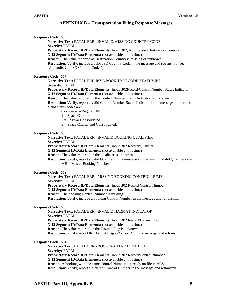| <b>Response Code: 656</b>                                                                                                           |
|-------------------------------------------------------------------------------------------------------------------------------------|
| Narrative Text: FATAL ERR - INVALID/MISSING COUNTRY CODE                                                                            |
| <b>Severity: FATAL</b>                                                                                                              |
| Proprietary Record ID/Data Elements: Input B02, N03 Record/Destination Country                                                      |
| X.12 Segment ID/Data Elements: (not available at this time)                                                                         |
| <b>Reason:</b> The value reported as Destination Country is missing or unknown.                                                     |
| Resolution: Verify, include a valid ISO Country Code in the message and retransmit (see                                             |
| 'Appendix C – ISO Country Codes').                                                                                                  |
|                                                                                                                                     |
| <b>Response Code: 657</b>                                                                                                           |
| Narrative Text: FATAL ERR-INVL BOOK TYPE CODE-STATUS IND                                                                            |
| <b>Severity: FATAL</b><br>Proprietary Record ID/Data Elements: Input B02Record/Control Number Status Indicator                      |
| <b>X.12 Segment ID/Data Elements:</b> (not available at this time)                                                                  |
| Reason: The value reported in the Control Number Status Indicator is unknown.                                                       |
| <b>Resolution:</b> Verify, report a valid Control Number Status Indicator in the message and retransmit.                            |
| Valid status codes are:                                                                                                             |
| 0 or space $=$ Regular Bill                                                                                                         |
| $1 = Space$ Charter                                                                                                                 |
| $2 =$ Regular Consolidated                                                                                                          |
| $3 =$ Space Charter and Consolidated.                                                                                               |
|                                                                                                                                     |
| <b>Response Code: 658</b>                                                                                                           |
| Narrative Text: FATAL ERR - INVALID BOOKING QUALIFIER                                                                               |
| <b>Severity: FATAL</b>                                                                                                              |
| Proprietary Record ID/Data Elements: Input B02 Record/Qualifier                                                                     |
| X.12 Segment ID/Data Elements: (not available at this time)                                                                         |
| <b>Reason:</b> The value reported in the Qualifier is unknown.                                                                      |
| Resolution: Verify, report a valid Qualifier in the message and retransmit. Valid Qualifiers are:                                   |
| $MB = Master$ Booking Number                                                                                                        |
|                                                                                                                                     |
| <b>Response Code: 659</b><br>Narrative Text: FATAL ERR - MISSING BOOKING CONTROL NUMB                                               |
|                                                                                                                                     |
| <b>Severity: FATAL</b>                                                                                                              |
| Proprietary Record ID/Data Elements: Input B02 Record/Control Number<br>X.12 Segment ID/Data Elements: (not available at this time) |
| <b>Reason:</b> The booking Control Number is missing.                                                                               |
| <b>Resolution:</b> Verify, include a booking Control Number in the message and retransmit.                                          |
|                                                                                                                                     |
| <b>Response Code: 660</b>                                                                                                           |
| Narrative Text: FATAL ERR - INVALID HAZMAT INDICATOR                                                                                |
| <b>Severity: FATAL</b>                                                                                                              |
| Proprietary Record ID/Data Elements: Input B02 Record/Hazmat Flag                                                                   |
| X.12 Segment ID/Data Elements: (not available at this time)                                                                         |
| <b>Reason:</b> The value reported in the Hazmat Flag is unknown.                                                                    |
| <b>Resolution:</b> Verify, report the Hazmat Flag as 'Y' or 'N' in the message and retransmit.                                      |
|                                                                                                                                     |
| <b>Response Code: 661</b>                                                                                                           |
| Narrative Text: FATAL ERR - BOOKING ALREADY EXIST                                                                                   |
| <b>Severity: FATAL</b>                                                                                                              |
| Proprietary Record ID/Data Elements: Input B02 Record/Control Number                                                                |
| <b>X.12 Segment ID/Data Elements:</b> (not available at this time)                                                                  |
| <b>Reason:</b> A booking with the same Control Number is already on file in AES.                                                    |
| Resolution: Verify, report a different Control Number in the message and retransmit.                                                |
|                                                                                                                                     |
|                                                                                                                                     |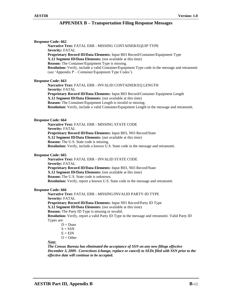| <b>Response Code: 662</b>                                                                                                                                                                                                                                                                                   |
|-------------------------------------------------------------------------------------------------------------------------------------------------------------------------------------------------------------------------------------------------------------------------------------------------------------|
| Narrative Text: FATAL ERR - MISSING CONTAINER/EQUIP TYPE                                                                                                                                                                                                                                                    |
| <b>Severity: FATAL</b>                                                                                                                                                                                                                                                                                      |
| Proprietary Record ID/Data Elements: Input B03 Record/Container/Equipment Type<br>X.12 Segment ID/Data Elements: (not available at this time)<br><b>Reason:</b> The Container/Equipment Type is missing.<br>Resolution: Verify, include a valid Container/Equipment Type code in the message and retransmit |
| (see 'Appendix P – Container/Equipment Type Codes').                                                                                                                                                                                                                                                        |
| <b>Response Code: 663</b>                                                                                                                                                                                                                                                                                   |
| Narrative Text: FATAL ERR - INVALID CONTAINER/EQ LENGTH                                                                                                                                                                                                                                                     |
| <b>Severity: FATAL</b>                                                                                                                                                                                                                                                                                      |
| Proprietary Record ID/Data Elements: Input B03 Record/Container Equipment Length                                                                                                                                                                                                                            |
| X.12 Segment ID/Data Elements: (not available at this time)                                                                                                                                                                                                                                                 |
| Reason: The Container/Equipment Length is invalid or missing.                                                                                                                                                                                                                                               |
| <b>Resolution:</b> Verify, include a valid Container/Equipment Length in the message and retransmit.                                                                                                                                                                                                        |
| <b>Response Code: 664</b>                                                                                                                                                                                                                                                                                   |
| <b>Narrative Text: FATAL ERR - MISSING STATE CODE</b>                                                                                                                                                                                                                                                       |
| <b>Severity: FATAL</b>                                                                                                                                                                                                                                                                                      |
| Proprietary Record ID/Data Elements: Input B03, N03 Record/State                                                                                                                                                                                                                                            |
| X.12 Segment ID/Data Elements: (not available at this time)                                                                                                                                                                                                                                                 |
| <b>Reason:</b> The U.S. State code is missing.                                                                                                                                                                                                                                                              |
| Resolution: Verify, include a known U.S. State code in the message and retransmit.                                                                                                                                                                                                                          |
| <b>Response Code: 665</b>                                                                                                                                                                                                                                                                                   |
| Narrative Text: FATAL ERR - INVALID STATE CODE                                                                                                                                                                                                                                                              |
| <b>Severity: FATAL</b>                                                                                                                                                                                                                                                                                      |
| Proprietary Record ID/Data Elements: Input B03, N03 Record/State                                                                                                                                                                                                                                            |
| X.12 Segment ID/Data Elements: (not available at this time)                                                                                                                                                                                                                                                 |
| Reason: The U.S. State code is unknown.                                                                                                                                                                                                                                                                     |
| Resolution: Verify, report a known U.S. State code in the message and retransmit.                                                                                                                                                                                                                           |
| <b>Response Code: 666</b>                                                                                                                                                                                                                                                                                   |
| Narrative Text: FATAL ERR - MISSING/INVALID PARTY-ID TYPE                                                                                                                                                                                                                                                   |
| <b>Severity: FATAL</b>                                                                                                                                                                                                                                                                                      |
| Proprietary Record ID/Data Elements: Input N01 Record/Party ID Type                                                                                                                                                                                                                                         |
| X.12 Segment ID/Data Elements: (not available at this time)                                                                                                                                                                                                                                                 |
| <b>Reason:</b> The Party ID Type is missing or invalid.                                                                                                                                                                                                                                                     |
| Resolution: Verify, report a valid Party ID Type in the message and retransmit. Valid Party ID                                                                                                                                                                                                              |
| Types are:                                                                                                                                                                                                                                                                                                  |
| $D = Duns$                                                                                                                                                                                                                                                                                                  |
| $S = SSN$                                                                                                                                                                                                                                                                                                   |
| $E = EIN$                                                                                                                                                                                                                                                                                                   |
| $O = Other$                                                                                                                                                                                                                                                                                                 |
| Note:                                                                                                                                                                                                                                                                                                       |
| The Census Bureau has eliminated the acceptance of SSN on any new filings effective                                                                                                                                                                                                                         |
| December 3, 2009. Corrections (change, replace or cancel) to SEDs filed with SSN prior to the                                                                                                                                                                                                               |
| effective date will continue to be accepted.                                                                                                                                                                                                                                                                |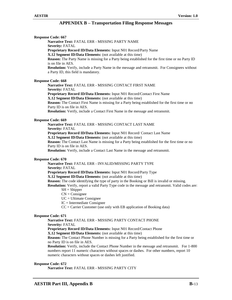**Response Code: 667 Narrative Text:** FATAL ERR - MISSING PARTY NAME **Severity:** FATAL **Proprietary Record ID/Data Elements:** Input N01 Record/Party Name **X.12 Segment ID/Data Elements:** (not available at this time) **Reason:** The Party Name is missing for a Party being established for the first time or no Party ID is on file in AES. **Resolution:** Verify, include a Party Name in the message and retransmit. For Consignees without a Party ID, this field is mandatory. **Response Code: 668 Narrative Text:** FATAL ERR - MISSING CONTACT FIRST NAME **Severity:** FATAL **Proprietary Record ID/Data Elements:** Input N01 Record/Contact First Name **X.12 Segment ID/Data Elements:** (not available at this time) **Reason:** The Contact First Name is missing for a Party being established for the first time or no Party ID is on file in AES. **Resolution:** Verify, include a Contact First Name in the message and retransmit. **Response Code: 669 Narrative Text:** FATAL ERR - MISSING CONTACT LAST NAME **Severity:** FATAL **Proprietary Record ID/Data Elements:** Input N01 Record/ Contact Last Name **X.12 Segment ID/Data Elements:** (not available at this time) **Reason:** The Contact Last Name is missing for a Party being established for the first time or no Party ID is on file in AES. **Resolution:** Verify, include a Contact Last Name in the message and retransmit. **Response Code: 670 Narrative Text:** FATAL ERR - INVALID/MISSING PARTY TYPE **Severity:** FATAL **Proprietary Record ID/Data Elements:** Input N01 Record/Party Type **X.12 Segment ID/Data Elements:** (not available at this time) **Reason:** The code identifying the type of party in the Booking or Bill is invalid or missing. **Resolution:** Verify, report a valid Party Type code in the message and retransmit. Valid codes are:  $SH =$ Shipper  $CN = Consider$ UC = Ultimate Consignee  $IC = Intermediate Consignee$ CC = Carrier Customer (use only with EB application of Booking data) **Response Code: 671 Narrative Text:** FATAL ERR - MISSING PARTY CONTACT PHONE **Severity:** FATAL **Proprietary Record ID/Data Elements:** Input N01 Record/Contact Phone **X.12 Segment ID/Data Elements:** (not available at this time) **Reason:** The Contact Phone Number is missing for a Party being established for the first time or no Party ID is on file in AES. **Resolution:** Verify, include the Contact Phone Number in the message and retransmit. For 1-800 numbers report 11 numeric characters without spaces or dashes. For other numbers, report 10 numeric characters without spaces or dashes left justified. **Response Code: 672 Narrative Text:** FATAL ERR - MISSING PARTY CITY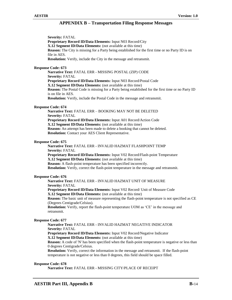**Severity:** FATAL **Proprietary Record ID/Data Elements:** Input N03 Record/City **X.12 Segment ID/Data Elements:** (not available at this time) **Reason:** The City is missing for a Party being established for the first time or no Party ID is on file in AES. **Resolution:** Verify, include the City in the message and retransmit.

# **Response Code: 673**

**Narrative Text:** FATAL ERR - MISSING POSTAL (ZIP) CODE **Severity:** FATAL **Proprietary Record ID/Data Elements:** Input N03 Record/Postal Code **X.12 Segment ID/Data Elements:** (not available at this time) **Reason:** The Postal Code is missing for a Party being established for the first time or no Party ID is on file in AES. **Resolution:** Verify, include the Postal Code in the message and retransmit.

# **Response Code: 674**

**Narrative Text:** FATAL ERR – BOOKING MAY NOT BE DELETED **Severity:** FATAL **Proprietary Record ID/Data Elements:** Input A01 Record/Action Code **X.12 Segment ID/Data Elements:** (not available at this time) **Reason:** An attempt has been made to delete a booking that cannot be deleted. **Resolution:** Contact your AES Client Representative.

# **Response Code: 675**

**Narrative Text:** FATAL ERR - INVALID HAZMAT FLASHPOINT TEMP **Severity:** FATAL **Proprietary Record ID/Data Elements:** Input V02 Record/Flash-point Temperature **X.12 Segment ID/Data Elements:** (not available at this time) **Reason:** A flash-point temperature has been specified incorrectly. **Resolution:** Verify, correct the flash-point temperature in the message and retransmit.

# **Response Code: 676**

**Narrative Text:** FATAL ERR - INVALID HAZMAT UNIT OF MEASURE **Severity:** FATAL **Proprietary Record ID/Data Elements:** Input V02 Record/ Unit of Measure Code **X.12 Segment ID/Data Elements:** (not available at this time) **Reason:** The basic unit of measure representing the flash-point temperature is not specified as CE (Degrees Centigrade/Celsius). **Resolution:** Verify, report the flash-point temperature UOM as 'CE' in the message and retransmit.

# **Response Code: 677**

# **Narrative Text:** FATAL ERR - INVALID HAZMAT NEGATIVE INDICATOR **Severity:** FATAL

**Proprietary Record ID/Data Elements:** Input V02 Record/Negative Indicator **X.12 Segment ID/Data Elements:** (not available at this time)

**Reason:** A code of 'N' has been specified when the flash-point temperature is negative or less than 0 degrees Centigrade/Celsius.

**Resolution:** Verify, correct the information in the message and retransmit. If the flash-point temperature is not negative or less than 0 degrees, this field should be space filled.

# **Response Code: 678**

**Narrative Text:** FATAL ERR - MISSING CITY/PLACE OF RECEIPT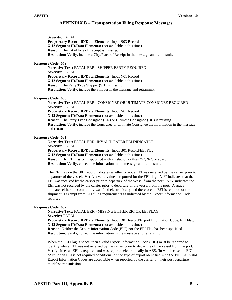**Severity:** FATAL **Proprietary Record ID/Data Elements:** Input B03 Record **X.12 Segment ID/Data Elements:** (not available at this time) **Reason:** The City/Place of Receipt is missing. **Resolution:** Verify, include a City/Place of Receipt in the message and retransmit.

# **Response Code: 679**

**Narrative Text:** FATAL ERR - SHIPPER PARTY REQUIRED **Severity:** FATAL **Proprietary Record ID/Data Elements:** Input N01 Record **X.12 Segment ID/Data Elements:** (not available at this time) **Reason:** The Party Type Shipper (SH) is missing. **Resolution:** Verify, include the Shipper in the message and retransmit.

# **Response Code: 680**

**Narrative Text:** FATAL ERR - CONSIGNEE OR ULTIMATE CONSIGNEE REQUIRED **Severity:** FATAL **Proprietary Record ID/Data Elements:** Input N01 Record **X.12 Segment ID/Data Elements:** (not available at this time) **Reason:** The Party Type Consignee (CN) or Ultimate Consignee (UC) is missing. **Resolution:** Verify, include the Consignee or Ultimate Consignee the information in the message and retransmit.

# **Response Code: 681**

**Narrative Text:** FATAL ERR- INVALID PAPER EEI INDICATOR **Severity:** FATAL **Proprietary Record ID/Data Elements:** Input B01 Record/EEI Flag **X.12 Segment ID/Data Elements:** (not available at this time) **Reason:** The EEI has been specified with a value other than 'Y', 'N', or space. **Resolution:** Verify, correct the information in the message and retransmit.

The EEI flag on the B01 record indicates whether or not a EEI was received by the carrier prior to departure of the vessel. Verify a valid value is reported for the EEI flag. A 'Y' indicates that the EEI was received by the carrier prior to departure of the vessel from the port. A 'N' indicates the EEI was not received by the carrier prior to departure of the vessel from the port. A space indicates either the commodity was filed electronically and therefore no EEI is required or the shipment is exempt from EEI filing requirements as indicated by the Export Information Code reported.

# . **Response Code: 682**

**Narrative Text:** FATAL ERR - MISSING EITHER EIC OR EEI FLAG **Severity:** FATAL

**Proprietary Record ID/Data Elements:** Input B01 Record/Export Information Code, EEI Flag **X.12 Segment ID/Data Elements:** (not available at this time)

**Reason:** Neither the Export Information Code (EIC) nor the EEI Flag has been specified. **Resolution:** Verify, correct the information in the message and retransmit.

When the EEI Flag is space, then a valid Export Information Code (EIC) must be reported to identify why a EEI was not received by the carrier prior to departure of the vessel from the port. Verify either an EEI is required and was reported electronically in AES, (in which case the  $EIC =$ 'AE') or an EEI is not required conditional on the type of export identified with the EIC. All valid Export Information Codes are acceptable when reported by the carrier on their post departure manifest transmissions.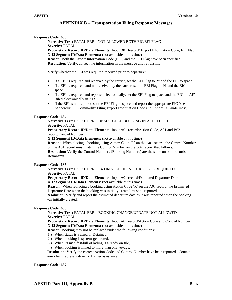# **Response Code: 683**

**Narrative Text:** FATAL ERR - NOT ALLOWED BOTH EIC/EEI FLAG **Severity:** FATAL

**Proprietary Record ID/Data Elements:** Input B01 Record/ Export Information Code, EEI Flag **X.12 Segment ID/Data Elements:** (not available at this time)

**Reason:** Both the Export Information Code (EIC) and the EEI Flag have been specified. **Resolution:** Verify, correct the information in the message and retransmit.

Verify whether the EEI was required/received prior to departure:

- If a EEI is required and received by the carrier, set the EEI Flag to 'Y' and the EIC to space.
- If a EEI is required, and not received by the carrier, set the EEI Flag to 'N' and the EIC to space.
- If a EEI is required and reported electronically, set the EEI Flag to space and the EIC to 'AE' (filed electronically in AES).
- If the EEI is not required set the EEI Flag to space and report the appropriate EIC (see 'Appendix E – Commodity Filing Export Information Code and Reporting Guidelines').

# **Response Code: 684**

**Narrative Text:** FATAL ERR – UNMATCHED BOOKING IN A01 RECORD **Severity:** FATAL

**Proprietary Record ID/Data Elements:** Input A01 record/Action Code, A01 and B02 record/Control Number

**X.12 Segment ID/Data Elements:** (not available at this time)

**Reason:** When placing a booking using Action Code 'R' on the A01 record, the Control Number on the A01 record must match the Control Number on the B02 record that follows. **Resolution:** Verify the Control Numbers (Booking Numbers) are the same on both records.

Retransmit.

# **Response Code: 685**

# **Narrative Text:** FATAL ERR – EXTIMATED DEPARTURE DATE REQUIRED **Severity:** FATAL

**Proprietary Record ID/Data Elements:** Input A01 record/Estimated Departure Date **X.12 Segment ID/Data Elements:** (not available at this time)

**Reason:** When replacing a booking using Action Code 'R' on the A01 record, the Estimated Departure Date when the booking was initially created must be reported.

**Resolution:** Verify and report the estimated departure date as it was reported when the booking was initially created.

# **Response Code: 686**

# **Narrative Text:** FATAL ERR – BOOKING CHANGE/UPDATE NOT ALLOWED **Severity:** FATAL

**Proprietary Record ID/Data Elements:** Input A01 record/Action Code and Control Number **X.12 Segment ID/Data Elements:** (not available at this time)

**Reason:** Booking may not be replaced under the following conditions:

- 1.) When status is Seized or Detained,
- 2.) When booking is system-generated,
- 3.) When its manifest/bill of lading is already on file,
- 4.) When booking is linked to more than one voyage.

**Resolution:** Verify the correct Action Code and Control Number have been reported. Contact your client representative for further assistance.

#### **Response Code: 687**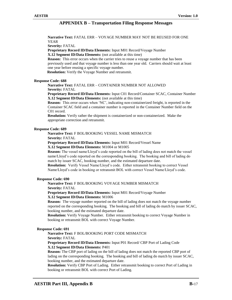**Narrative Text:** FATAL ERR – VOYAGE NUMBER MAY NOT BE REUSED FOR ONE YEAR

**Severity:** FATAL

**Proprietary Record ID/Data Elements:** Input M01 Record/Voyage Number

**X.12 Segment ID/Data Elements:** (not available at this time)

**Reason:** This error occurs when the carrier tries to reuse a voyage number that has been previously used and that voyage number is less than one year old. Carriers should wait at least one year before reusing a specific voyage number.

**Resolution:** Verify the Voyage Number and retransmit.

# **Response Code: 688**

**Narrative Text:** FATAL ERR – CONTAINER NUMBER NOT ALLOWED

**Severity:** FATAL

**Proprietary Record ID/Data Elements:** Input C01 Record/Container SCAC, Container Number **X.12 Segment ID/Data Elements:** (not available at this time)

**Reason:** This error occurs when 'NC', indicating non-containerized freight, is reported in the Container SCAC field and a container number is reported in the Container Number field on the C01 record.

**Resolution:** Verify rather the shipment is containerized or non-containerized. Make the appropriate correction and retransmit.

# **Response Code: 689**

# **Narrative Text:** F BOL/BOOKING VESSEL NAME MISMATCH

**Severity:** FATAL

 **Proprietary Record ID/Data Elements:** Input M01 Record/Vessel Name **X.12 Segment ID/Data Elements:** M1004 or M1005

**Reason:** The vessel name/Lloyd's code reported on the bill of lading does not match the vessel name/Lloyd's code reported on the corresponding booking. The booking and bill of lading do match by issuer SCAC, booking number, and the estimated departure date.

**Resolution:** Verify Vessel Name/Lloyd's code. Either retransmit booking to correct Vessel Name/Lloyd's code in booking or retransmit BOL with correct Vessel Name/Lloyd's code.

# **Response Code: 690**

# **Narrative Text:** F BOL/BOOKING VOYAGE NUMBER MISMATCH

**Severity:** FATAL

**Proprietary Record ID/Data Elements:** Input M01 Record/Voyage Number **X.12 Segment ID/Data Elements:** M1006

**Reason:** The voyage number reported on the bill of lading does not match the voyage number reported on the corresponding booking. The booking and bill of lading do match by issuer SCAC, booking number, and the estimated departure date.

**Resolution:** Verify Voyage Number. Either retransmit booking to correct Voyage Number in booking or retransmit BOL with correct Voyage Number.

# **Response Code: 691**

**Narrative Text:** F BOL/BOOKING PORT CODE MISMATCH

**Severity:** FATAL

**Proprietary Record ID/Data Elements:** Input P01 Record/ CBP Port of Lading Code **X.12 Segment ID/Data Elements:** P401

**Reason:** The CBP port of lading on the bill of lading does not match the reported CBP port of lading on the corresponding booking. The booking and bill of lading do match by issuer SCAC, booking number, and the estimated departure date.

**Resolution:** Verify CBP Port of Lading. Either retransmit booking to correct Port of Lading in booking or retransmit BOL with correct Port of Lading.